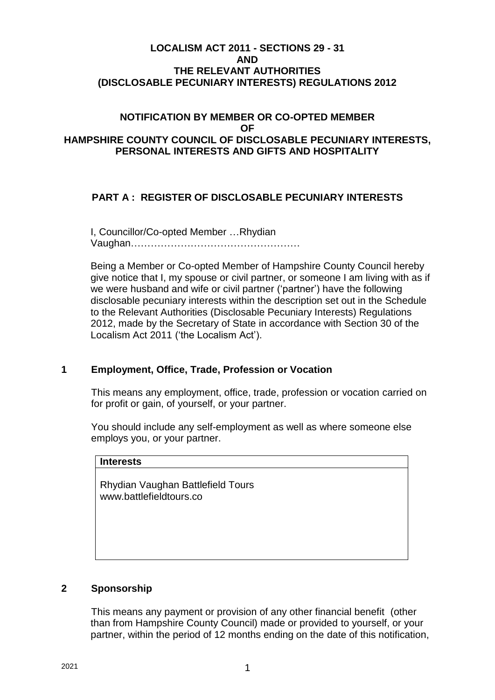# **LOCALISM ACT 2011 - SECTIONS 29 - 31 AND THE RELEVANT AUTHORITIES (DISCLOSABLE PECUNIARY INTERESTS) REGULATIONS 2012**

# **NOTIFICATION BY MEMBER OR CO-OPTED MEMBER OF HAMPSHIRE COUNTY COUNCIL OF DISCLOSABLE PECUNIARY INTERESTS, PERSONAL INTERESTS AND GIFTS AND HOSPITALITY**

# **PART A : REGISTER OF DISCLOSABLE PECUNIARY INTERESTS**

I, Councillor/Co-opted Member …Rhydian Vaughan……………………………………………

Being a Member or Co-opted Member of Hampshire County Council hereby give notice that I, my spouse or civil partner, or someone I am living with as if we were husband and wife or civil partner ('partner') have the following disclosable pecuniary interests within the description set out in the Schedule to the Relevant Authorities (Disclosable Pecuniary Interests) Regulations 2012, made by the Secretary of State in accordance with Section 30 of the Localism Act 2011 ('the Localism Act').

# **1 Employment, Office, Trade, Profession or Vocation**

This means any employment, office, trade, profession or vocation carried on for profit or gain, of yourself, or your partner.

You should include any self-employment as well as where someone else employs you, or your partner.

| <b>Interests</b>                                             |  |
|--------------------------------------------------------------|--|
| Rhydian Vaughan Battlefield Tours<br>www.battlefieldtours.co |  |
|                                                              |  |

# **2 Sponsorship**

This means any payment or provision of any other financial benefit (other than from Hampshire County Council) made or provided to yourself, or your partner, within the period of 12 months ending on the date of this notification,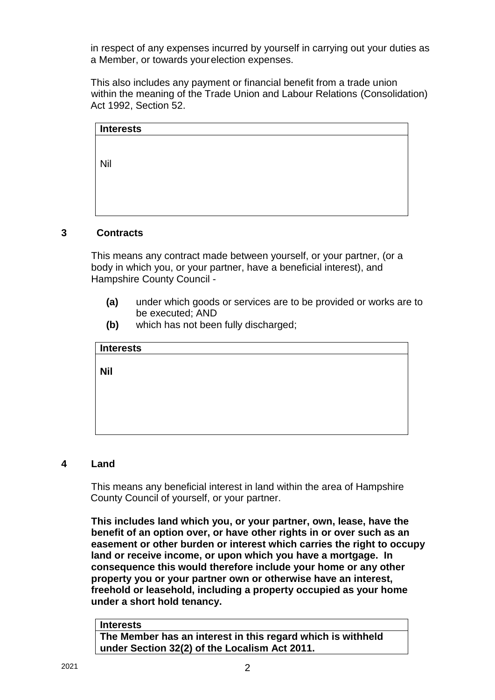in respect of any expenses incurred by yourself in carrying out your duties as a Member, or towards yourelection expenses.

This also includes any payment or financial benefit from a trade union within the meaning of the Trade Union and Labour Relations (Consolidation) Act 1992, Section 52.

| <b>Interests</b> |  |  |  |
|------------------|--|--|--|
|                  |  |  |  |
|                  |  |  |  |
| Nil              |  |  |  |
|                  |  |  |  |
|                  |  |  |  |
|                  |  |  |  |
|                  |  |  |  |
|                  |  |  |  |

# **3 Contracts**

This means any contract made between yourself, or your partner, (or a body in which you, or your partner, have a beneficial interest), and Hampshire County Council -

- **(a)** under which goods or services are to be provided or works are to be executed; AND
- **(b)** which has not been fully discharged;

| <b>Interests</b> |  |  |  |
|------------------|--|--|--|
|                  |  |  |  |
| <b>Nil</b>       |  |  |  |
|                  |  |  |  |
|                  |  |  |  |
|                  |  |  |  |
|                  |  |  |  |
|                  |  |  |  |

# **4 Land**

This means any beneficial interest in land within the area of Hampshire County Council of yourself, or your partner.

**This includes land which you, or your partner, own, lease, have the benefit of an option over, or have other rights in or over such as an easement or other burden or interest which carries the right to occupy land or receive income, or upon which you have a mortgage. In consequence this would therefore include your home or any other property you or your partner own or otherwise have an interest, freehold or leasehold, including a property occupied as your home under a short hold tenancy.**

#### **Interests**

**The Member has an interest in this regard which is withheld under Section 32(2) of the Localism Act 2011.**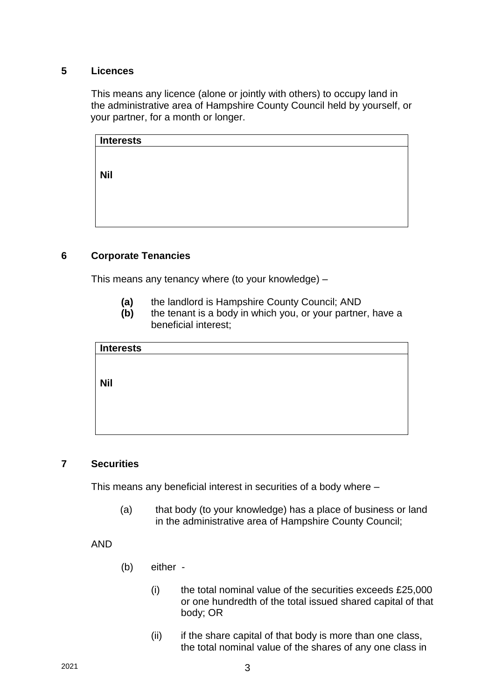# **5 Licences**

This means any licence (alone or jointly with others) to occupy land in the administrative area of Hampshire County Council held by yourself, or your partner, for a month or longer.

| <b>Interests</b> |  |  |
|------------------|--|--|
|                  |  |  |
|                  |  |  |
| <b>Nil</b>       |  |  |
|                  |  |  |
|                  |  |  |
|                  |  |  |
|                  |  |  |

# **6 Corporate Tenancies**

This means any tenancy where (to your knowledge) –

- **(a)** the landlord is Hampshire County Council; AND
- **(b)** the tenant is a body in which you, or your partner, have a beneficial interest;

| <b>Interests</b> |  |  |  |
|------------------|--|--|--|
|                  |  |  |  |
|                  |  |  |  |
| <b>Nil</b>       |  |  |  |
|                  |  |  |  |
|                  |  |  |  |
|                  |  |  |  |
|                  |  |  |  |
|                  |  |  |  |

# **7 Securities**

This means any beneficial interest in securities of a body where –

(a) that body (to your knowledge) has a place of business or land in the administrative area of Hampshire County Council;

AND

- (b) either
	- $(i)$  the total nominal value of the securities exceeds £25,000 or one hundredth of the total issued shared capital of that body; OR
	- (ii) if the share capital of that body is more than one class, the total nominal value of the shares of any one class in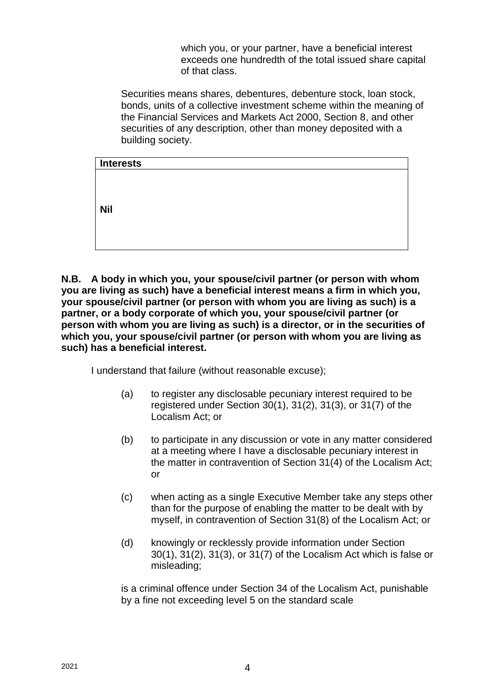which you, or your partner, have a beneficial interest exceeds one hundredth of the total issued share capital of that class.

Securities means shares, debentures, debenture stock, loan stock, bonds, units of a collective investment scheme within the meaning of the Financial Services and Markets Act 2000, Section 8, and other securities of any description, other than money deposited with a building society.

| <b>Interests</b> |  |  |
|------------------|--|--|
|                  |  |  |
|                  |  |  |
|                  |  |  |
| <b>Nil</b>       |  |  |
|                  |  |  |
|                  |  |  |
|                  |  |  |

**N.B. A body in which you, your spouse/civil partner (or person with whom you are living as such) have a beneficial interest means a firm in which you, your spouse/civil partner (or person with whom you are living as such) is a partner, or a body corporate of which you, your spouse/civil partner (or person with whom you are living as such) is a director, or in the securities of which you, your spouse/civil partner (or person with whom you are living as such) has a beneficial interest.**

I understand that failure (without reasonable excuse);

- (a) to register any disclosable pecuniary interest required to be registered under Section 30(1), 31(2), 31(3), or 31(7) of the Localism Act; or
- (b) to participate in any discussion or vote in any matter considered at a meeting where I have a disclosable pecuniary interest in the matter in contravention of Section 31(4) of the Localism Act; or
- (c) when acting as a single Executive Member take any steps other than for the purpose of enabling the matter to be dealt with by myself, in contravention of Section 31(8) of the Localism Act; or
- (d) knowingly or recklessly provide information under Section 30(1), 31(2), 31(3), or 31(7) of the Localism Act which is false or misleading;

is a criminal offence under Section 34 of the Localism Act, punishable by a fine not exceeding level 5 on the standard scale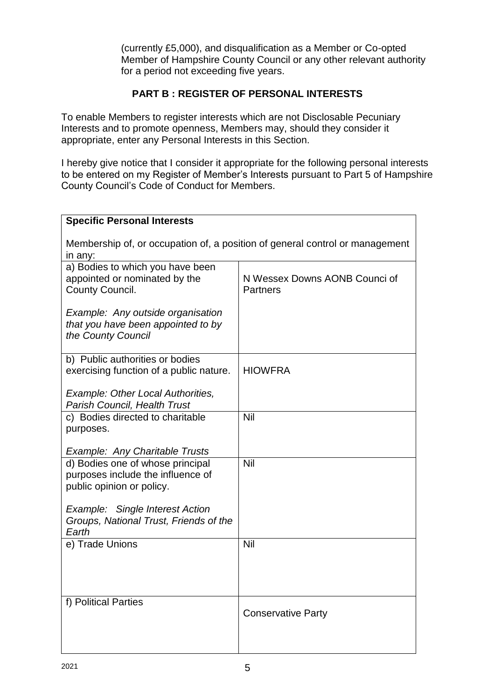(currently £5,000), and disqualification as a Member or Co-opted Member of Hampshire County Council or any other relevant authority for a period not exceeding five years.

# **PART B : REGISTER OF PERSONAL INTERESTS**

To enable Members to register interests which are not Disclosable Pecuniary Interests and to promote openness, Members may, should they consider it appropriate, enter any Personal Interests in this Section.

I hereby give notice that I consider it appropriate for the following personal interests to be entered on my Register of Member's Interests pursuant to Part 5 of Hampshire County Council's Code of Conduct for Members.

| <b>Specific Personal Interests</b>                                                      |                               |  |  |  |
|-----------------------------------------------------------------------------------------|-------------------------------|--|--|--|
| Membership of, or occupation of, a position of general control or management<br>in any: |                               |  |  |  |
| a) Bodies to which you have been                                                        |                               |  |  |  |
| appointed or nominated by the                                                           | N Wessex Downs AONB Counci of |  |  |  |
| County Council.                                                                         | <b>Partners</b>               |  |  |  |
| Example: Any outside organisation                                                       |                               |  |  |  |
| that you have been appointed to by                                                      |                               |  |  |  |
| the County Council                                                                      |                               |  |  |  |
| b) Public authorities or bodies                                                         |                               |  |  |  |
| exercising function of a public nature.                                                 | <b>HIOWFRA</b>                |  |  |  |
| <b>Example: Other Local Authorities,</b>                                                |                               |  |  |  |
| <b>Parish Council, Health Trust</b>                                                     |                               |  |  |  |
| c) Bodies directed to charitable                                                        | Nil                           |  |  |  |
| purposes.                                                                               |                               |  |  |  |
| <b>Example: Any Charitable Trusts</b>                                                   |                               |  |  |  |
| d) Bodies one of whose principal                                                        | Nil                           |  |  |  |
| purposes include the influence of                                                       |                               |  |  |  |
| public opinion or policy.                                                               |                               |  |  |  |
| <b>Example: Single Interest Action</b>                                                  |                               |  |  |  |
| Groups, National Trust, Friends of the                                                  |                               |  |  |  |
| Earth                                                                                   |                               |  |  |  |
| e) Trade Unions                                                                         | Nil                           |  |  |  |
|                                                                                         |                               |  |  |  |
|                                                                                         |                               |  |  |  |
|                                                                                         |                               |  |  |  |
| f) Political Parties                                                                    |                               |  |  |  |
|                                                                                         | <b>Conservative Party</b>     |  |  |  |
|                                                                                         |                               |  |  |  |
|                                                                                         |                               |  |  |  |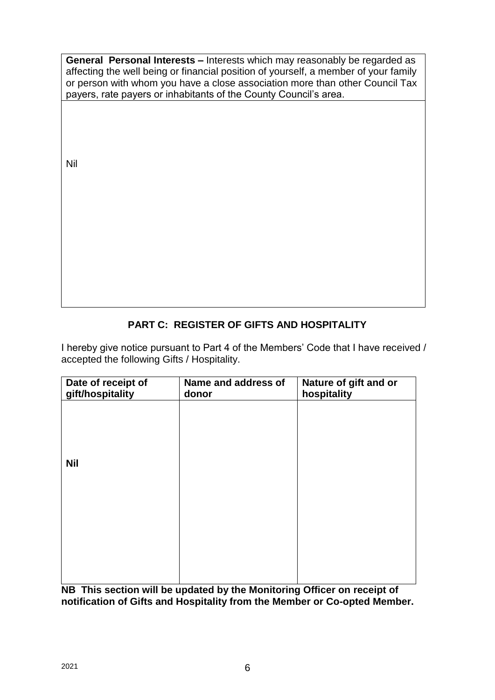**General Personal Interests –** Interests which may reasonably be regarded as affecting the well being or financial position of yourself, a member of your family or person with whom you have a close association more than other Council Tax payers, rate payers or inhabitants of the County Council's area.

Nil

# **PART C: REGISTER OF GIFTS AND HOSPITALITY**

I hereby give notice pursuant to Part 4 of the Members' Code that I have received / accepted the following Gifts / Hospitality.

| Date of receipt of<br>gift/hospitality | Name and address of<br>donor | Nature of gift and or<br>hospitality |
|----------------------------------------|------------------------------|--------------------------------------|
|                                        |                              |                                      |
|                                        |                              |                                      |
| <b>Nil</b>                             |                              |                                      |
|                                        |                              |                                      |
|                                        |                              |                                      |
|                                        |                              |                                      |
|                                        |                              |                                      |
|                                        |                              |                                      |

**NB This section will be updated by the Monitoring Officer on receipt of notification of Gifts and Hospitality from the Member or Co-opted Member.**